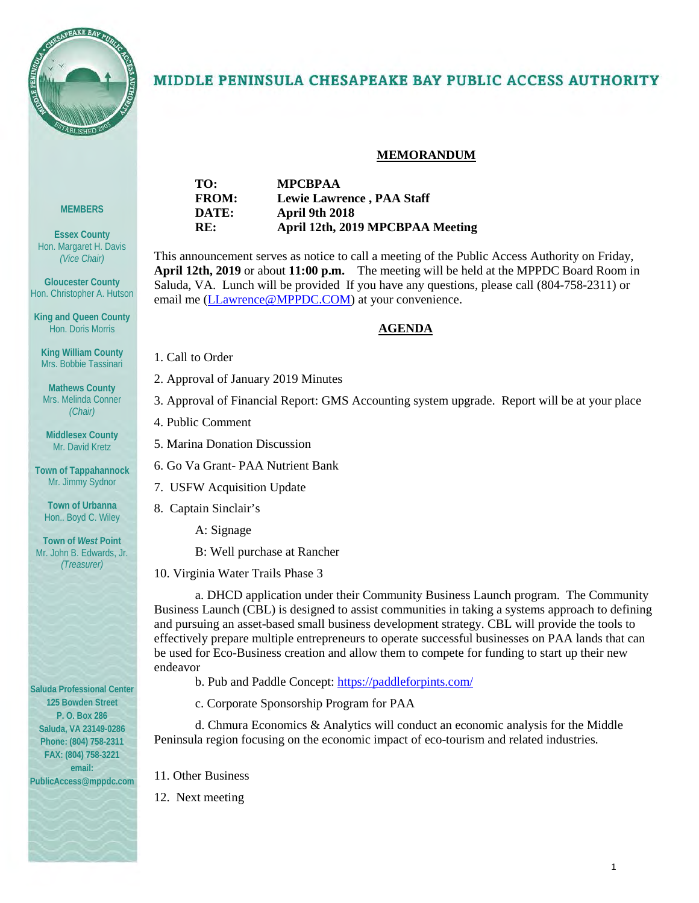

### MIDDLE PENINSULA CHESAPEAKE BAY PUBLIC ACCESS AUTHORITY

#### **MEMORANDUM**

| TO:          | <b>MPCBPAA</b>                   |
|--------------|----------------------------------|
| <b>FROM:</b> | <b>Lewie Lawrence, PAA Staff</b> |
| DATE:        | April 9th 2018                   |
| RE:          | April 12th, 2019 MPCBPAA Meeting |

This announcement serves as notice to call a meeting of the Public Access Authority on Friday, **April 12th, 2019** or about **11:00 p.m.** The meeting will be held at the MPPDC Board Room in Saluda, VA. Lunch will be provided If you have any questions, please call (804-758-2311) or email me [\(LLawrence@MPPDC.COM\)](mailto:LLawrence@MPPDC.COM) at your convenience.

#### **AGENDA**

- 1. Call to Order
- 2. Approval of January 2019 Minutes
- 3. Approval of Financial Report: GMS Accounting system upgrade. Report will be at your place
- 4. Public Comment
- 5. Marina Donation Discussion
- 6. Go Va Grant- PAA Nutrient Bank
- 7. USFW Acquisition Update
- 8. Captain Sinclair's
	- A: Signage
	- B: Well purchase at Rancher
- 10. Virginia Water Trails Phase 3

a. DHCD application under their Community Business Launch program. The Community Business Launch (CBL) is designed to assist communities in taking a systems approach to defining and pursuing an asset-based small business development strategy. CBL will provide the tools to effectively prepare multiple entrepreneurs to operate successful businesses on PAA lands that can be used for Eco-Business creation and allow them to compete for funding to start up their new endeavor

- b. Pub and Paddle Concept[: https://paddleforpints.com/](https://paddleforpints.com/)
- c. Corporate Sponsorship Program for PAA

d. Chmura Economics & Analytics will conduct an economic analysis for the Middle Peninsula region focusing on the economic impact of eco-tourism and related industries.

- 11. Other Business
- 12. Next meeting

**Essex County** Hon. Margaret H. Davis *(Vice Chair)*

**MEMBERS**

**Gloucester County** Hon. Christopher A. Hutson

**King and Queen County** Hon. Doris Morris

**King William County** Mrs. Bobbie Tassinari

**Mathews County** Mrs. Melinda Conner *(Chair)*

**Middlesex County** Mr. David Kretz

**Town of Tappahannock** Mr. Jimmy Sydnor

**Town of Urbanna** Hon.. Boyd C. Wiley

**Town of** *West* **Point** Mr. John B. Edwards, Jr. *(Treasurer)*

**Saluda Professional Center 125 Bowden Street P. O. Box 286 Saluda, VA 23149-0286 Phone: (804) 758-2311 FAX: (804) 758-3221 email: PublicAccess@mppdc.com**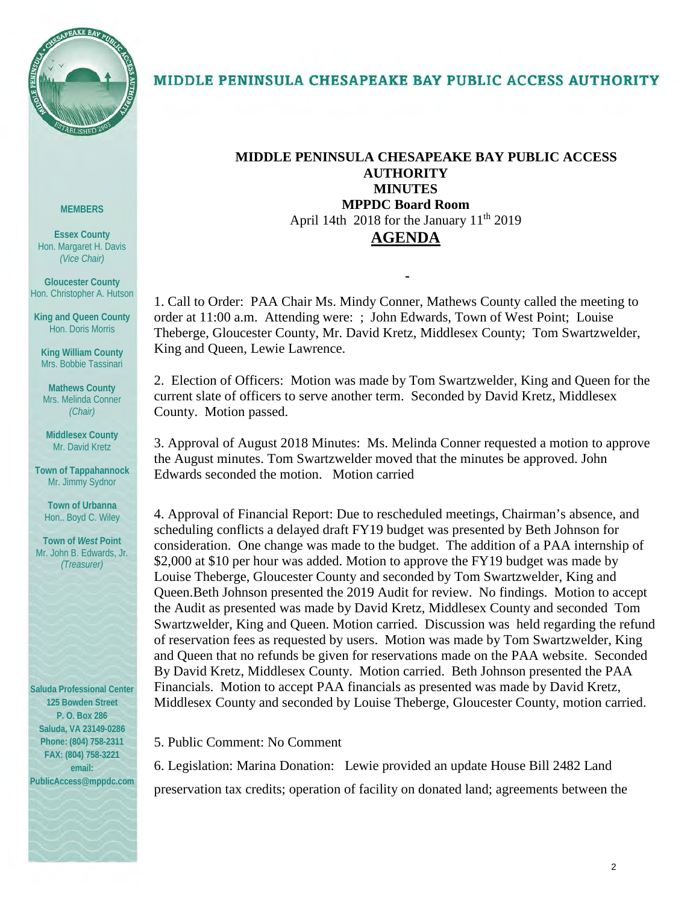

### MIDDLE PENINSULA CHESAPEAKE BAY PUBLIC ACCESS AUTHORITY

#### **MEMBERS**

**Essex County** Hon. Margaret H. Davis *(Vice Chair)*

**Gloucester County** Hon. Christopher A. Hutson

**King and Queen County** Hon. Doris Morris

**King William County** Mrs. Bobbie Tassinari

**Mathews County** Mrs. Melinda Conner *(Chair)*

**Middlesex County** Mr. David Kretz

**Town of Tappahannock** Mr. Jimmy Sydnor

**Town of Urbanna** Hon.. Boyd C. Wiley

**Town of** *West* **Point** Mr. John B. Edwards, Jr. *(Treasurer)*

**Saluda Professional Center 125 Bowden Street P. O. Box 286 Saluda, VA 23149-0286 Phone: (804) 758-2311 FAX: (804) 758-3221 email: PublicAccess@mppdc.com** 

#### **MIDDLE PENINSULA CHESAPEAKE BAY PUBLIC ACCESS AUTHORITY MINUTES MPPDC Board Room** April 14th 2018 for the January  $11<sup>th</sup> 2019$ **AGENDA**

1. Call to Order: PAA Chair Ms. Mindy Conner, Mathews County called the meeting to order at 11:00 a.m. Attending were: ; John Edwards, Town of West Point; Louise Theberge, Gloucester County, Mr. David Kretz, Middlesex County; Tom Swartzwelder, King and Queen, Lewie Lawrence.

2. Election of Officers: Motion was made by Tom Swartzwelder, King and Queen for the current slate of officers to serve another term. Seconded by David Kretz, Middlesex County. Motion passed.

3. Approval of August 2018 Minutes: Ms. Melinda Conner requested a motion to approve the August minutes. Tom Swartzwelder moved that the minutes be approved. John Edwards seconded the motion. Motion carried

4. Approval of Financial Report: Due to rescheduled meetings, Chairman's absence, and scheduling conflicts a delayed draft FY19 budget was presented by Beth Johnson for consideration. One change was made to the budget. The addition of a PAA internship of \$2,000 at \$10 per hour was added. Motion to approve the FY19 budget was made by Louise Theberge, Gloucester County and seconded by Tom Swartzwelder, King and Queen.Beth Johnson presented the 2019 Audit for review. No findings. Motion to accept the Audit as presented was made by David Kretz, Middlesex County and seconded Tom Swartzwelder, King and Queen. Motion carried. Discussion was held regarding the refund of reservation fees as requested by users. Motion was made by Tom Swartzwelder, King and Queen that no refunds be given for reservations made on the PAA website. Seconded By David Kretz, Middlesex County. Motion carried. Beth Johnson presented the PAA Financials. Motion to accept PAA financials as presented was made by David Kretz, Middlesex County and seconded by Louise Theberge, Gloucester County, motion carried.

5. Public Comment: No Comment

6. Legislation: Marina Donation: Lewie provided an update House Bill 2482 Land preservation tax credits; operation of facility on donated land; agreements between the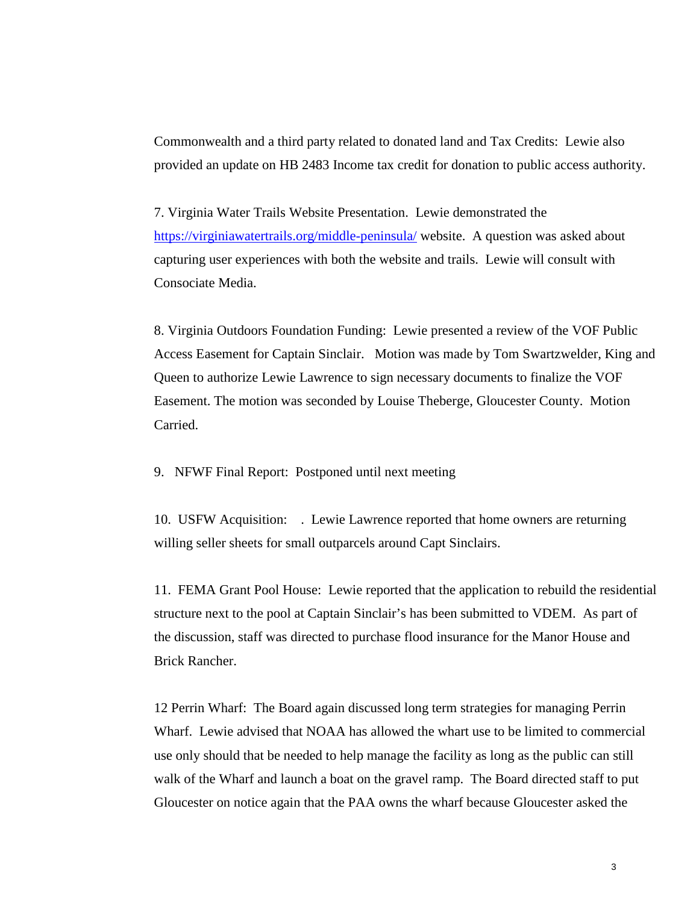Commonwealth and a third party related to donated land and Tax Credits: Lewie also provided an update on HB 2483 Income tax credit for donation to public access authority.

7. Virginia Water Trails Website Presentation. Lewie demonstrated the <https://virginiawatertrails.org/middle-peninsula/>website. A question was asked about capturing user experiences with both the website and trails. Lewie will consult with Consociate Media.

8. Virginia Outdoors Foundation Funding: Lewie presented a review of the VOF Public Access Easement for Captain Sinclair. Motion was made by Tom Swartzwelder, King and Queen to authorize Lewie Lawrence to sign necessary documents to finalize the VOF Easement. The motion was seconded by Louise Theberge, Gloucester County. Motion Carried.

9. NFWF Final Report: Postponed until next meeting

10. USFW Acquisition: . Lewie Lawrence reported that home owners are returning willing seller sheets for small outparcels around Capt Sinclairs.

11. FEMA Grant Pool House: Lewie reported that the application to rebuild the residential structure next to the pool at Captain Sinclair's has been submitted to VDEM. As part of the discussion, staff was directed to purchase flood insurance for the Manor House and Brick Rancher.

12 Perrin Wharf: The Board again discussed long term strategies for managing Perrin Wharf. Lewie advised that NOAA has allowed the whart use to be limited to commercial use only should that be needed to help manage the facility as long as the public can still walk of the Wharf and launch a boat on the gravel ramp. The Board directed staff to put Gloucester on notice again that the PAA owns the wharf because Gloucester asked the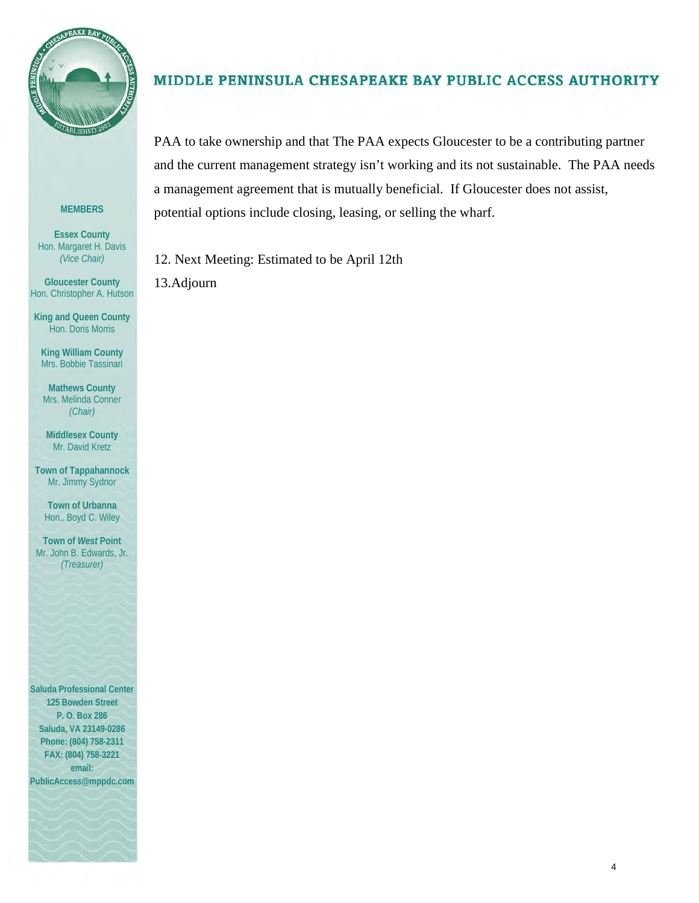

#### **MEMBERS**

**Essex County** Hon. Margaret H. Davis *(Vice Chair)*

**Gloucester County** Hon. Christopher A. Hutson

**King and Queen County** Hon. Doris Morris

**King William County** Mrs. Bobbie Tassinari

**Mathews County** Mrs. Melinda Conner *(Chair)*

**Middlesex County** Mr. David Kretz

**Town of Tappahannock** Mr. Jimmy Sydnor

**Town of Urbanna** Hon.. Boyd C. Wiley

**Town of** *West* **Point** Mr. John B. Edwards, Jr. *(Treasurer)*

**Saluda Professional Center 125 Bowden Street P. O. Box 286 Saluda, VA 23149-0286 Phone: (804) 758-2311 FAX: (804) 758-3221 email:** 

**PublicAccess@mppdc.com** 



#### MIDDLE PENINSULA CHESAPEAKE BAY PUBLIC ACCESS AUTHORITY

PAA to take ownership and that The PAA expects Gloucester to be a contributing partner and the current management strategy isn't working and its not sustainable. The PAA needs a management agreement that is mutually beneficial. If Gloucester does not assist, potential options include closing, leasing, or selling the wharf.

12. Next Meeting: Estimated to be April 12th 13.Adjourn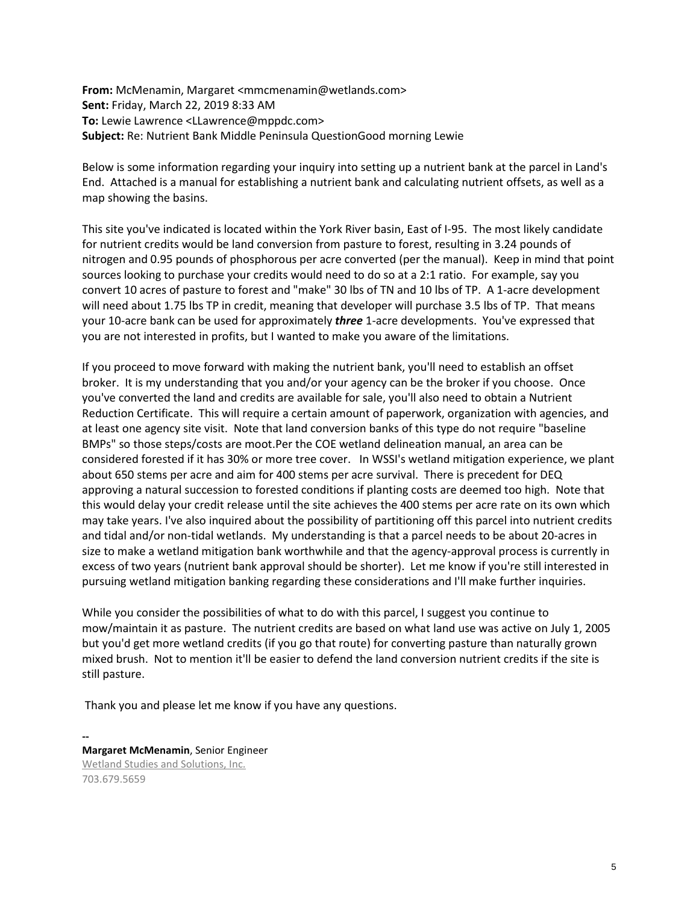**From:** McMenamin, Margaret <mmcmenamin@wetlands.com> **Sent:** Friday, March 22, 2019 8:33 AM **To:** Lewie Lawrence <LLawrence@mppdc.com> **Subject:** Re: Nutrient Bank Middle Peninsula QuestionGood morning Lewie

Below is some information regarding your inquiry into setting up a nutrient bank at the parcel in Land's End. Attached is a manual for establishing a nutrient bank and calculating nutrient offsets, as well as a map showing the basins.

This site you've indicated is located within the York River basin, East of I-95. The most likely candidate for nutrient credits would be land conversion from pasture to forest, resulting in 3.24 pounds of nitrogen and 0.95 pounds of phosphorous per acre converted (per the manual). Keep in mind that point sources looking to purchase your credits would need to do so at a 2:1 ratio. For example, say you convert 10 acres of pasture to forest and "make" 30 lbs of TN and 10 lbs of TP. A 1-acre development will need about 1.75 lbs TP in credit, meaning that developer will purchase 3.5 lbs of TP. That means your 10-acre bank can be used for approximately *three* 1-acre developments. You've expressed that you are not interested in profits, but I wanted to make you aware of the limitations.

If you proceed to move forward with making the nutrient bank, you'll need to establish an offset broker. It is my understanding that you and/or your agency can be the broker if you choose. Once you've converted the land and credits are available for sale, you'll also need to obtain a Nutrient Reduction Certificate. This will require a certain amount of paperwork, organization with agencies, and at least one agency site visit. Note that land conversion banks of this type do not require "baseline BMPs" so those steps/costs are moot.Per the COE wetland delineation manual, an area can be considered forested if it has 30% or more tree cover. In WSSI's wetland mitigation experience, we plant about 650 stems per acre and aim for 400 stems per acre survival. There is precedent for DEQ approving a natural succession to forested conditions if planting costs are deemed too high. Note that this would delay your credit release until the site achieves the 400 stems per acre rate on its own which may take years. I've also inquired about the possibility of partitioning off this parcel into nutrient credits and tidal and/or non-tidal wetlands. My understanding is that a parcel needs to be about 20-acres in size to make a wetland mitigation bank worthwhile and that the agency-approval process is currently in excess of two years (nutrient bank approval should be shorter). Let me know if you're still interested in pursuing wetland mitigation banking regarding these considerations and I'll make further inquiries.

While you consider the possibilities of what to do with this parcel, I suggest you continue to mow/maintain it as pasture. The nutrient credits are based on what land use was active on July 1, 2005 but you'd get more wetland credits (if you go that route) for converting pasture than naturally grown mixed brush. Not to mention it'll be easier to defend the land conversion nutrient credits if the site is still pasture.

Thank you and please let me know if you have any questions.

**-- Margaret McMenamin**, Senior Engineer [Wetland Studies and Solutions, Inc.](http://www.wetlands.com/) 703.679.5659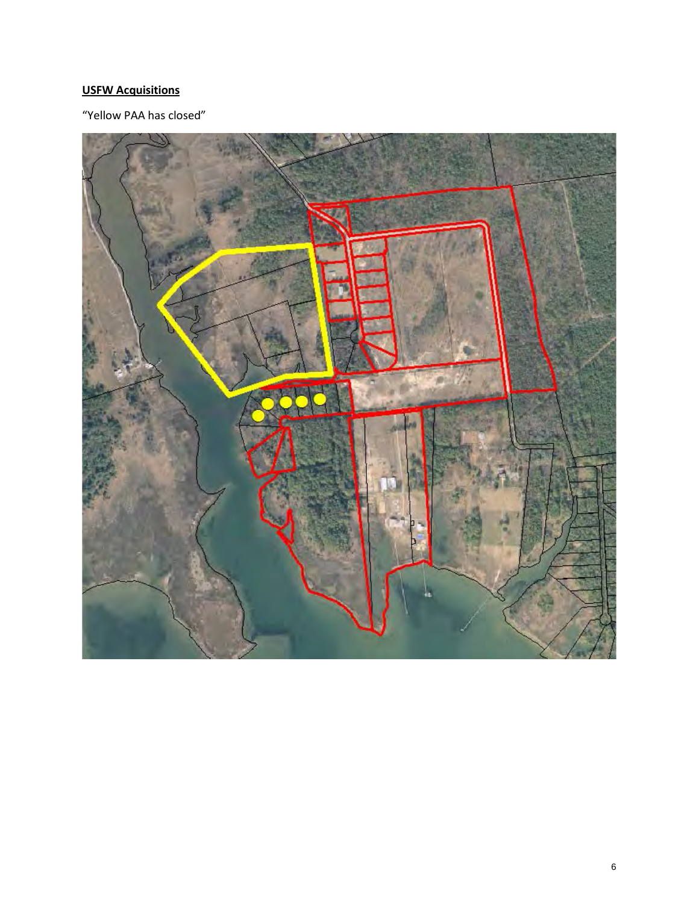### **USFW Acquisitions**

"Yellow PAA has closed"

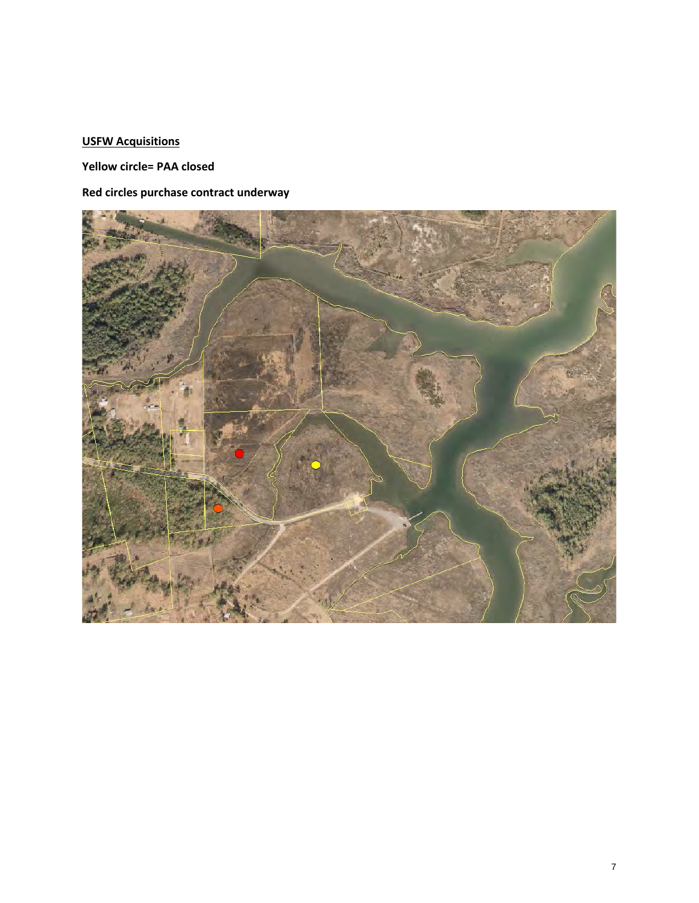### **USFW Acquisitions**

**Yellow circle= PAA closed**

### **Red circles purchase contract underway**

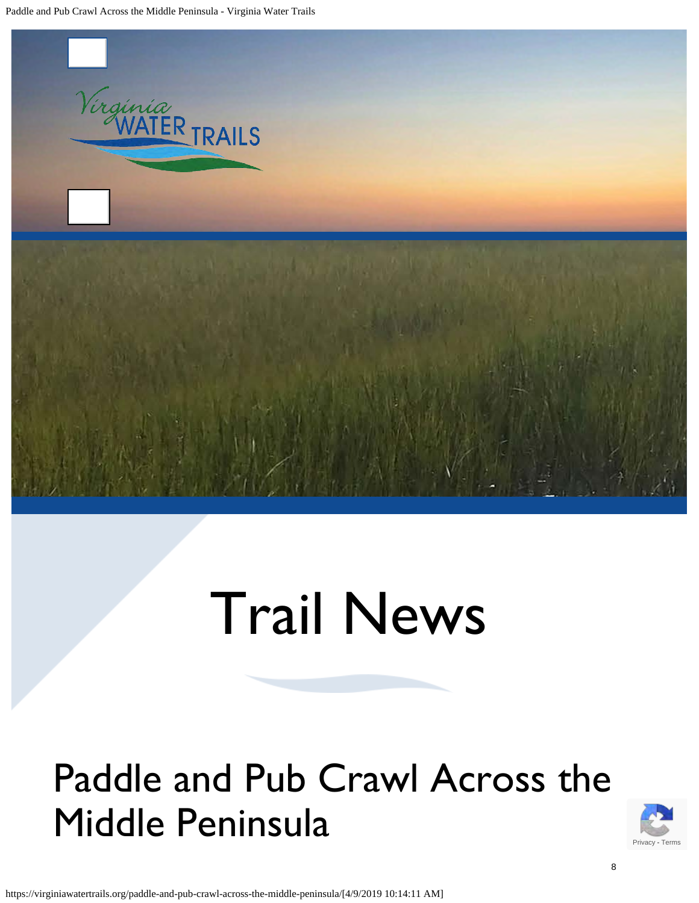Paddle and Pub Crawl Across the Middle Peninsula - Virginia Water Trails



# Trail News

## Paddle and Pub Crawl Across the Middle Peninsula



https://virginiawatertrails.org/paddle-and-pub-crawl-across-the-middle-peninsula/[4/9/2019 10:14:11 AM]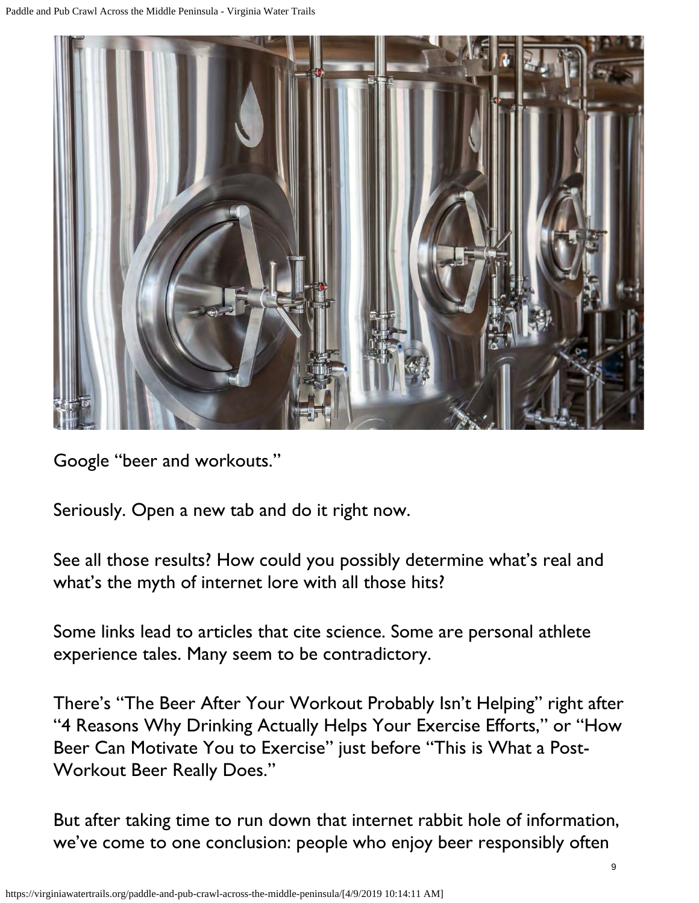

Google "beer and workouts."

Seriously. Open a new tab and do it right now.

See all those results? How could you possibly determine what's real and what's the myth of internet lore with all those hits?

Some links lead to articles that cite science. Some are personal athlete experience tales. Many seem to be contradictory.

There's "The Beer After Your Workout Probably Isn't Helping" right after "4 Reasons Why Drinking Actually Helps Your Exercise Efforts," or "How Beer Can Motivate You to Exercise" just before "This is What a Post-Workout Beer Really Does."

But after taking time to run down that internet rabbit hole of information, we've come to one conclusion: people who enjoy beer responsibly often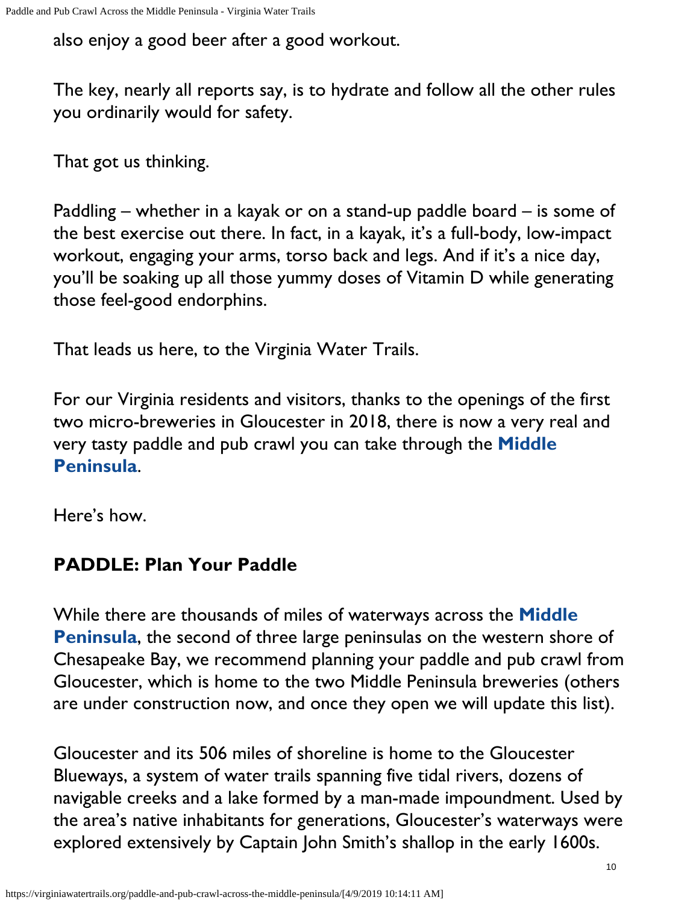also enjoy a good beer after a good workout.

The key, nearly all reports say, is to hydrate and follow all the other rules you ordinarily would for safety.

That got us thinking.

Paddling – whether in a kayak or on a stand-up paddle board – is some of the best exercise out there. In fact, in a kayak, it's a full-body, low-impact workout, engaging your arms, torso back and legs. And if it's a nice day, you'll be soaking up all those yummy doses of Vitamin D while generating those feel-good endorphins.

That leads us here, to the Virginia Water Trails.

For our Virginia residents and visitors, thanks to the openings of the first two micro-breweries in Gloucester in 2018, there is now a very real and very tasty paddle and pub crawl you can take through the **[Middle](https://virginiawatertrails.org/middle-peninsula/) [Peninsula](https://virginiawatertrails.org/middle-peninsula/)**.

Here's how.

## **PADDLE: Plan Your Paddle**

While there are thousands of miles of waterways across the **[Middle](https://virginiawatertrails.org/middle-peninsula/) [Peninsula](https://virginiawatertrails.org/middle-peninsula/)**, the second of three large peninsulas on the western shore of Chesapeake Bay, we recommend planning your paddle and pub crawl from Gloucester, which is home to the two Middle Peninsula breweries (others are under construction now, and once they open we will update this list).

Gloucester and its 506 miles of shoreline is home to the Gloucester Blueways, a system of water trails spanning five tidal rivers, dozens of navigable creeks and a lake formed by a man-made impoundment. Used by the area's native inhabitants for generations, Gloucester's waterways were explored extensively by Captain John Smith's shallop in the early 1600s.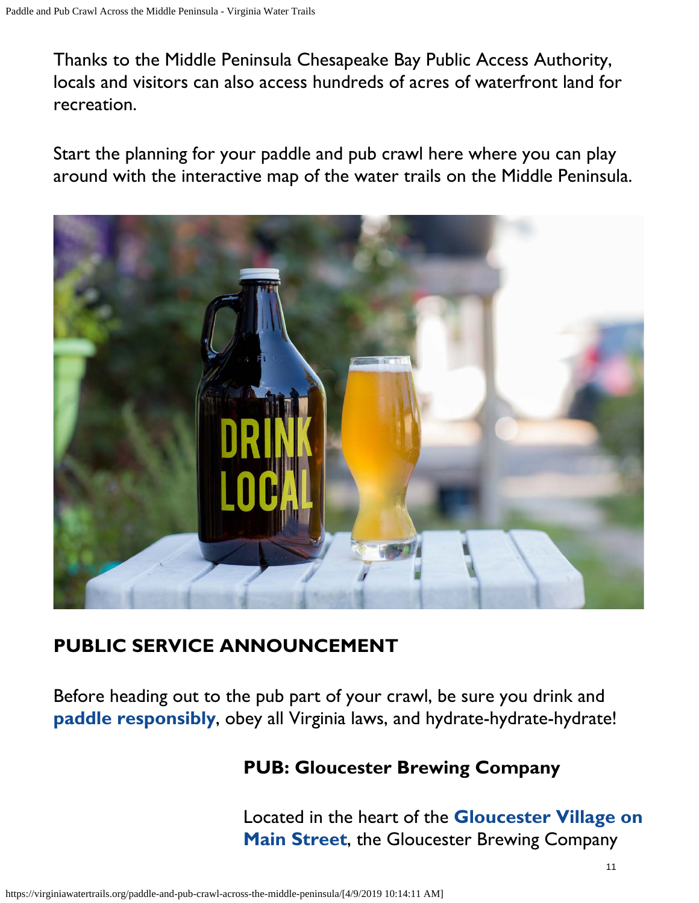Thanks to the Middle Peninsula Chesapeake Bay Public Access Authority, locals and visitors can also access hundreds of acres of waterfront land for recreation.

Start the planning for your paddle and pub crawl here where you can play around with the interactive map of the water trails on the Middle Peninsula.



## **PUBLIC SERVICE ANNOUNCEMENT**

Before heading out to the pub part of your crawl, be sure you drink and **[paddle responsibly](https://virginiawatertrails.org/virginia-water-trail-tips-safety/)**, obey all Virginia laws, and hydrate-hydrate-hydrate!

## **PUB: Gloucester Brewing Company**

Located in the heart of the **[Gloucester Village on](http://www.gloucestervillage.com/) [Main Street](http://www.gloucestervillage.com/)**, the Gloucester Brewing Company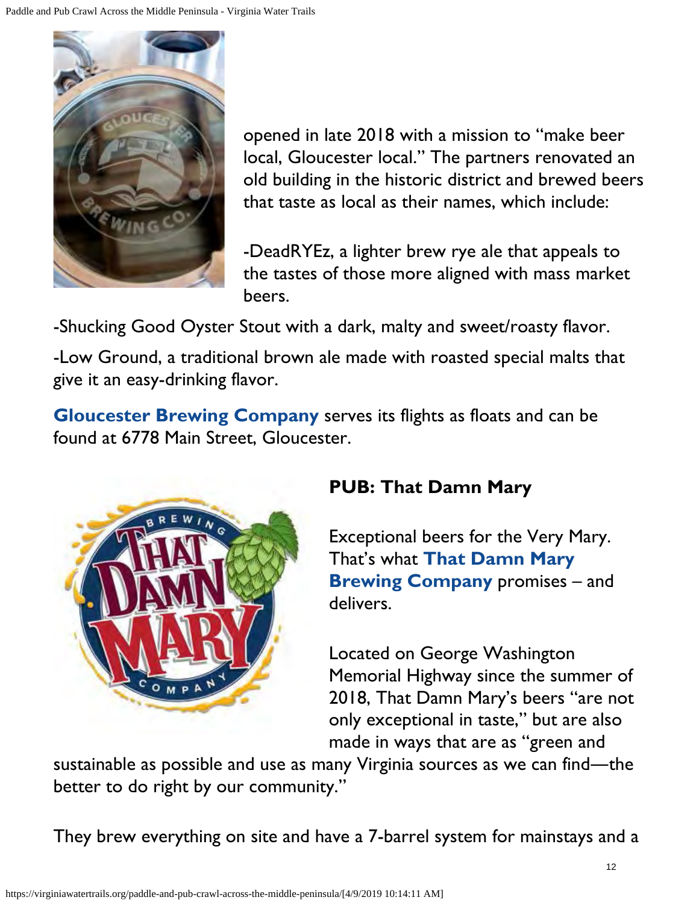

opened in late 2018 with a mission to "make beer local, Gloucester local." The partners renovated an old building in the historic district and brewed beers that taste as local as their names, which include:

-DeadRYEz, a lighter brew rye ale that appeals to the tastes of those more aligned with mass market beers.

-Shucking Good Oyster Stout with a dark, malty and sweet/roasty flavor.

-Low Ground, a traditional brown ale made with roasted special malts that give it an easy-drinking flavor.

**[Gloucester Brewing Company](http://www.globrewco.com/)** serves its flights as floats and can be found at 6778 Main Street, Gloucester.



## **PUB: That Damn Mary**

Exceptional beers for the Very Mary. That's what **[That Damn Mary](http://thatdamnmarybrewing.com/) [Brewing Company](http://thatdamnmarybrewing.com/)** promises – and delivers.

Located on George Washington Memorial Highway since the summer of 2018, That Damn Mary's beers "are not only exceptional in taste," but are also made in ways that are as "green and

sustainable as possible and use as many Virginia sources as we can find―the better to do right by our community."

They brew everything on site and have a 7-barrel system for mainstays and a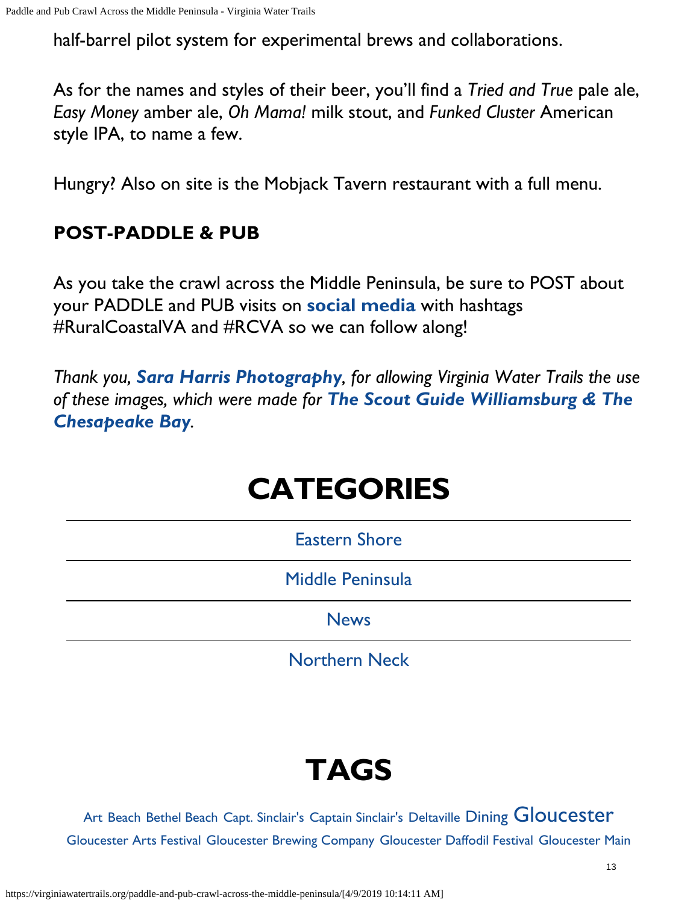half-barrel pilot system for experimental brews and collaborations.

As for the names and styles of their beer, you'll find a *Tried and True* pale ale, *Easy Money* amber ale, *Oh Mama!* milk stout, and *Funked Cluster* American style IPA, to name a few.

Hungry? Also on site is the Mobjack Tavern restaurant with a full menu.

## **POST-PADDLE & PUB**

As you take the crawl across the Middle Peninsula, be sure to POST about your PADDLE and PUB visits on **[social media](https://www.facebook.com/VirginiaWaterTrailsMiddlePeninsula/)** with hashtags #RuralCoastalVA and #RCVA so we can follow along!

*Thank you, [Sara Harris Photography](https://www.facebook.com/saraharrisphotography/), for allowing Virginia Water Trails the use of these images, which were made for [The Scout Guide Williamsburg & The](https://www.facebook.com/TheScoutGuideWilliamsburg/) [Chesapeake Bay](https://www.facebook.com/TheScoutGuideWilliamsburg/).*

## **CATEGORIES**

[Eastern Shore](https://virginiawatertrails.org/category/eastern-shore/)

[Middle Peninsula](https://virginiawatertrails.org/category/middle-peninsula/)

**[News](https://virginiawatertrails.org/category/news/)** 

[Northern Neck](https://virginiawatertrails.org/category/northern-neck/)

## **TAGS**

[Art](https://virginiawatertrails.org/tag/art/) [Beach](https://virginiawatertrails.org/tag/beach/) [Bethel Beach](https://virginiawatertrails.org/tag/bethel-beach/) [Capt. Sinclair's](https://virginiawatertrails.org/tag/capt-sinclairs/) [Captain Sinclair's](https://virginiawatertrails.org/tag/captain-sinclairs/) [Deltaville](https://virginiawatertrails.org/tag/deltaville/) [Dining](https://virginiawatertrails.org/tag/dining/) [Gloucester](https://virginiawatertrails.org/tag/gloucester/) [Gloucester Arts Festival](https://virginiawatertrails.org/tag/gloucester-arts-festival/) [Gloucester Brewing Company](https://virginiawatertrails.org/tag/gloucester-brewing-company/) [Gloucester Daffodil Festival](https://virginiawatertrails.org/tag/gloucester-daffodil-festival/) [Gloucester Main](https://virginiawatertrails.org/tag/gloucester-main-street/)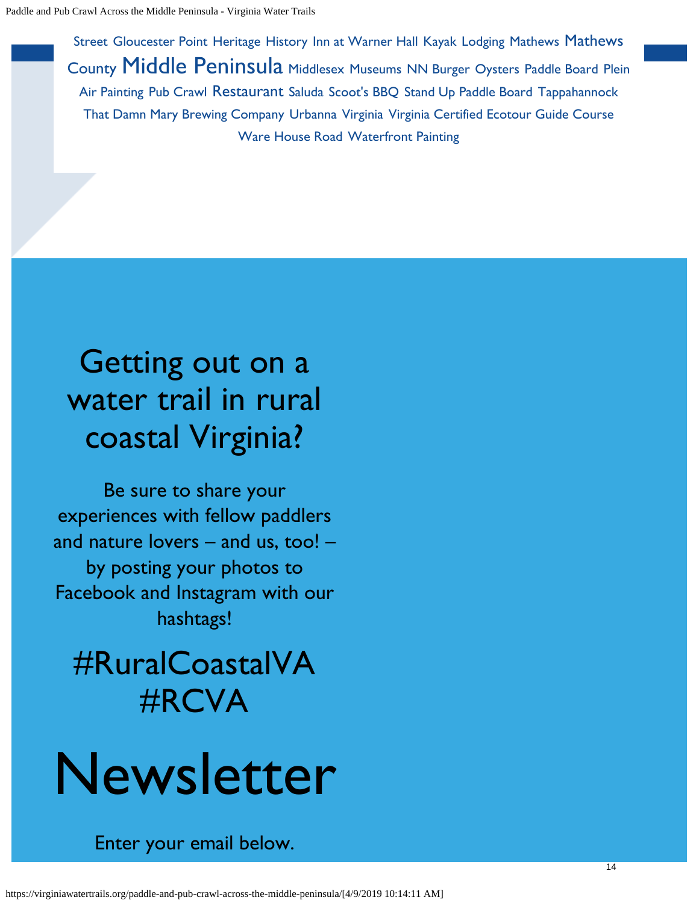[Street](https://virginiawatertrails.org/tag/gloucester-main-street/) [Gloucester Point](https://virginiawatertrails.org/tag/gloucester-point/) [Heritage](https://virginiawatertrails.org/tag/heritage/) [History](https://virginiawatertrails.org/tag/history/) [Inn at Warner Hall](https://virginiawatertrails.org/tag/inn-at-warner-hall/) [Kayak](https://virginiawatertrails.org/tag/kayak/) [Lodging](https://virginiawatertrails.org/tag/lodging/) [Mathews](https://virginiawatertrails.org/tag/mathews/) [Mathews](https://virginiawatertrails.org/tag/mathews-county/) [County](https://virginiawatertrails.org/tag/mathews-county/) [Middle Peninsula](https://virginiawatertrails.org/tag/middle-peninsula/) [Middlesex](https://virginiawatertrails.org/tag/middlesex/) [Museums](https://virginiawatertrails.org/tag/museums/) [NN Burger](https://virginiawatertrails.org/tag/nn-burger/) [Oysters](https://virginiawatertrails.org/tag/oysters/) [Paddle Board](https://virginiawatertrails.org/tag/paddle-board/) [Plein](https://virginiawatertrails.org/tag/plein-air-painting/) [Air Painting](https://virginiawatertrails.org/tag/plein-air-painting/) [Pub Crawl](https://virginiawatertrails.org/tag/pub-crawl/) [Restaurant](https://virginiawatertrails.org/tag/restaurant/) [Saluda](https://virginiawatertrails.org/tag/saluda/) [Scoot's BBQ](https://virginiawatertrails.org/tag/scoots-bbq/) [Stand Up Paddle Board](https://virginiawatertrails.org/tag/stand-up-paddle-board/) [Tappahannock](https://virginiawatertrails.org/tag/tappahannock/) [That Damn Mary Brewing Company](https://virginiawatertrails.org/tag/that-damn-mary-brewing-company/) [Urbanna](https://virginiawatertrails.org/tag/urbanna/) [Virginia](https://virginiawatertrails.org/tag/virginia/) [Virginia Certified Ecotour Guide Course](https://virginiawatertrails.org/tag/virginia-certified-ecotour-guide-course/) [Ware House Road](https://virginiawatertrails.org/tag/ware-house-road/) [Waterfront Painting](https://virginiawatertrails.org/tag/waterfront-painting/)

## Getting out on a water trail in rural coastal Virginia?

Be sure to share your experiences with fellow paddlers and nature lovers – and us, too! – by posting your photos to Facebook and Instagram with our hashtags!

## #RuralCoastalVA #RCVA

# Newsletter

Enter your email below.